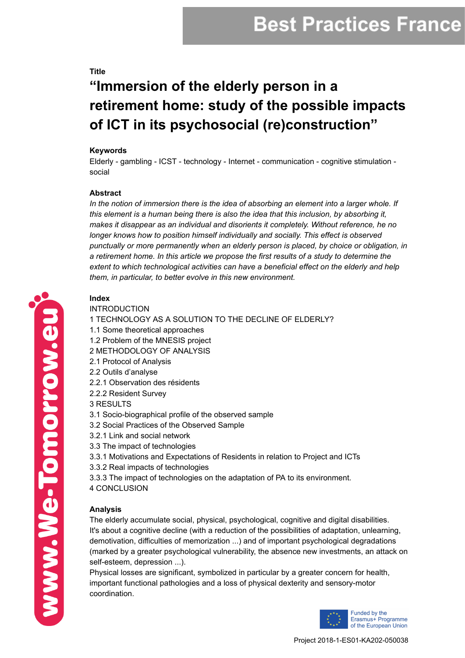# **Best Practices France**

#### **Title**

## **" Immersion of the elderly person in a retirement home: study of the possible impacts of ICT in its psychosocial (re)construction"**

#### **Keywords**

Elderly - gambling - ICST - technology - Internet - communication - cognitive stimulation social

#### **Abstract**

*In the notion of immersion there is the idea of absorbing an element into a larger whole. If this element is a human being there is also the idea that this inclusion, by absorbing it, makes it disappear as an individual and disorients it completely. Without reference, he no longer knows how to position himself individually and socially. This effect is observed punctually or more permanently when an elderly person is placed, by choice or obligation, in a retirement home. In this article we propose the first results of a study to determine the extent to which technological activities can have a beneficial effect on the elderly and help them, in particular, to better evolve in this new environment.*

### **Index**

INTRODUCTION 1 TECHNOLOGY AS A SOLUTION TO THE DECLINE OF ELDERLY? 1.1 Some theoretical approaches 1.2 Problem of the MNESIS project 2 METHODOLOGY OF ANALYSIS 2.1 Protocol of Analysis 2.2 Outils d'analyse 2.2.1 Observation des résidents 2.2.2 Resident Survey 3 RESULTS 3.1 Socio-biographical profile of the observed sample 3.2 Social Practices of the Observed Sample 3.2.1 Link and social network 3.3 The impact of technologies 3.3.1 Motivations and Expectations of Residents in relation to Project and ICTs 3.3.2 Real impacts of technologies 3.3.3 The impact of technologies on the adaptation of PA to its environment. 4 CONCLUSION

### **Analysis**

The elderly accumulate social, physical, psychological, cognitive and digital disabilities. It's about a cognitive decline (with a reduction of the possibilities of adaptation, unlearning, demotivation, difficulties of memorization ...) and of important psychological degradations (marked by a greater psychological vulnerability, the absence new investments, an attack on self-esteem, depression ...).

Physical losses are significant, symbolized in particular by a greater concern for health, important functional pathologies and a loss of physical dexterity and sensory-motor coordination.



www.We-Tomorrow.eu